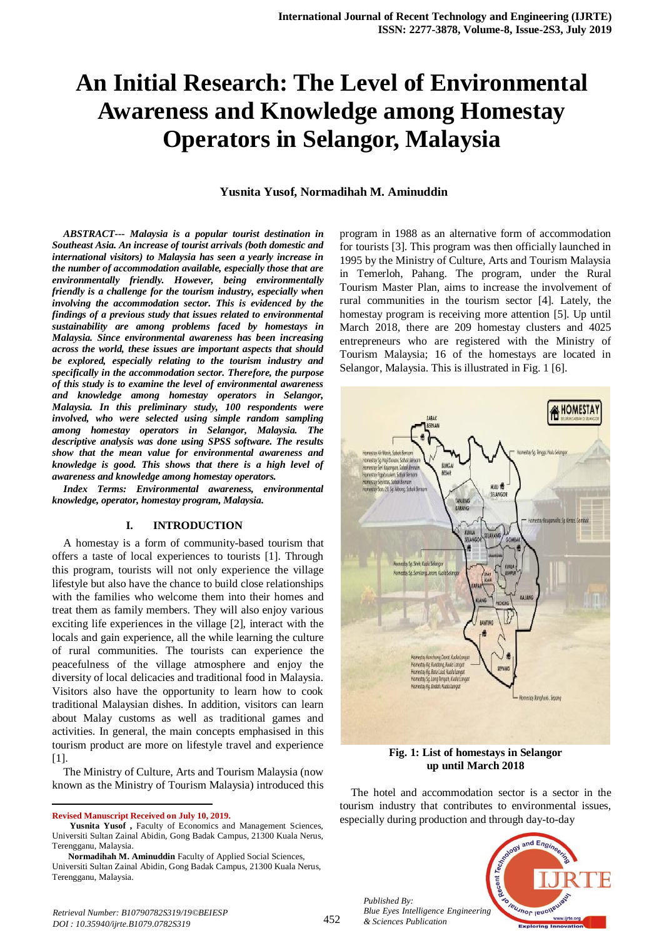# **An Initial Research: The Level of Environmental Awareness and Knowledge among Homestay Operators in Selangor, Malaysia**

### **Yusnita Yusof, Normadihah M. Aminuddin**

*ABSTRACT--- Malaysia is a popular tourist destination in Southeast Asia. An increase of tourist arrivals (both domestic and international visitors) to Malaysia has seen a yearly increase in the number of accommodation available, especially those that are environmentally friendly. However, being environmentally friendly is a challenge for the tourism industry, especially when involving the accommodation sector. This is evidenced by the findings of a previous study that issues related to environmental sustainability are among problems faced by homestays in Malaysia. Since environmental awareness has been increasing across the world, these issues are important aspects that should be explored, especially relating to the tourism industry and specifically in the accommodation sector. Therefore, the purpose of this study is to examine the level of environmental awareness and knowledge among homestay operators in Selangor, Malaysia. In this preliminary study, 100 respondents were involved, who were selected using simple random sampling among homestay operators in Selangor, Malaysia. The descriptive analysis was done using SPSS software. The results show that the mean value for environmental awareness and knowledge is good. This shows that there is a high level of awareness and knowledge among homestay operators.*

*Index Terms: Environmental awareness, environmental knowledge, operator, homestay program, Malaysia.*

#### **I. INTRODUCTION**

A homestay is a form of community-based tourism that offers a taste of local experiences to tourists [1]. Through this program, tourists will not only experience the village lifestyle but also have the chance to build close relationships with the families who welcome them into their homes and treat them as family members. They will also enjoy various exciting life experiences in the village [2], interact with the locals and gain experience, all the while learning the culture of rural communities. The tourists can experience the peacefulness of the village atmosphere and enjoy the diversity of local delicacies and traditional food in Malaysia. Visitors also have the opportunity to learn how to cook traditional Malaysian dishes. In addition, visitors can learn about Malay customs as well as traditional games and activities. In general, the main concepts emphasised in this tourism product are more on lifestyle travel and experience [1].

The Ministry of Culture, Arts and Tourism Malaysia (now known as the Ministry of Tourism Malaysia) introduced this

 $\overline{a}$ 

program in 1988 as an alternative form of accommodation for tourists [3]. This program was then officially launched in 1995 by the Ministry of Culture, Arts and Tourism Malaysia in Temerloh, Pahang. The program, under the Rural Tourism Master Plan, aims to increase the involvement of rural communities in the tourism sector [4]. Lately, the homestay program is receiving more attention [5]. Up until March 2018, there are 209 homestay clusters and 4025 entrepreneurs who are registered with the Ministry of Tourism Malaysia; 16 of the homestays are located in Selangor, Malaysia. This is illustrated in Fig. 1 [6].



**Fig. 1: List of homestays in Selangor up until March 2018**

The hotel and accommodation sector is a sector in the tourism industry that contributes to environmental issues, especially during production and through day-to-day



*Published By: Blue Eyes Intelligence Engineering & Sciences Publication* 

**Revised Manuscript Received on July 10, 2019.**

**Yusnita Yusof ,** Faculty of Economics and Management Sciences, Universiti Sultan Zainal Abidin, Gong Badak Campus, 21300 Kuala Nerus, Terengganu, Malaysia.

**Normadihah M. Aminuddin** Faculty of Applied Social Sciences, Universiti Sultan Zainal Abidin, Gong Badak Campus, 21300 Kuala Nerus, Terengganu, Malaysia.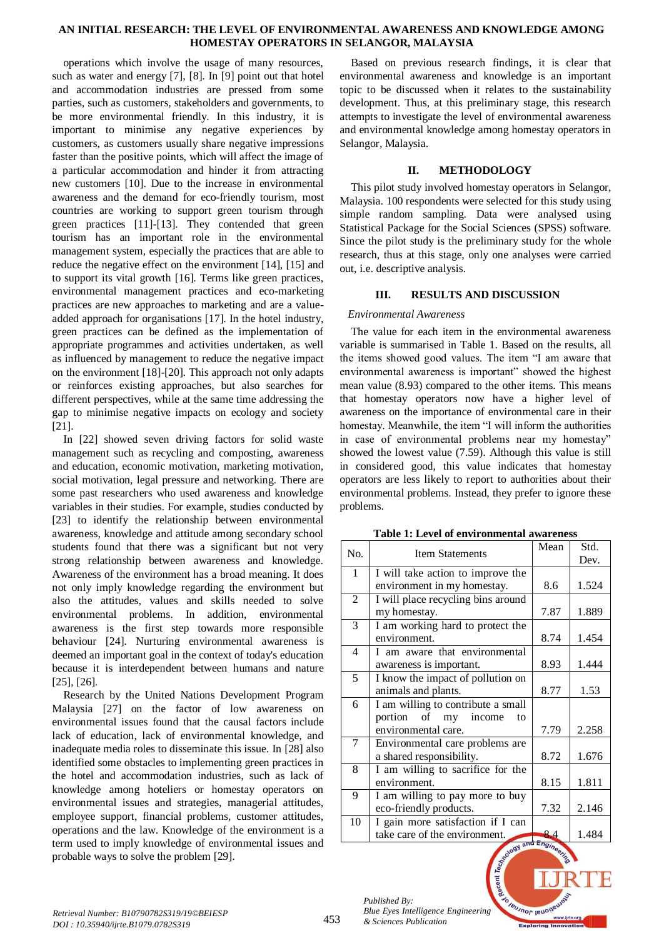#### **AN INITIAL RESEARCH: THE LEVEL OF ENVIRONMENTAL AWARENESS AND KNOWLEDGE AMONG HOMESTAY OPERATORS IN SELANGOR, MALAYSIA**

operations which involve the usage of many resources, such as water and energy [7], [8]. In [9] point out that hotel and accommodation industries are pressed from some parties, such as customers, stakeholders and governments, to be more environmental friendly. In this industry, it is important to minimise any negative experiences by customers, as customers usually share negative impressions faster than the positive points, which will affect the image of a particular accommodation and hinder it from attracting new customers [10]. Due to the increase in environmental awareness and the demand for eco-friendly tourism, most countries are working to support green tourism through green practices [11]-[13]. They contended that green tourism has an important role in the environmental management system, especially the practices that are able to reduce the negative effect on the environment [14], [15] and to support its vital growth [16]. Terms like green practices, environmental management practices and eco-marketing practices are new approaches to marketing and are a valueadded approach for organisations [17]. In the hotel industry, green practices can be defined as the implementation of appropriate programmes and activities undertaken, as well as influenced by management to reduce the negative impact on the environment [18]-[20]. This approach not only adapts or reinforces existing approaches, but also searches for different perspectives, while at the same time addressing the gap to minimise negative impacts on ecology and society [21].

In [22] showed seven driving factors for solid waste management such as recycling and composting, awareness and education, economic motivation, marketing motivation, social motivation, legal pressure and networking. There are some past researchers who used awareness and knowledge variables in their studies. For example, studies conducted by [23] to identify the relationship between environmental awareness, knowledge and attitude among secondary school students found that there was a significant but not very strong relationship between awareness and knowledge. Awareness of the environment has a broad meaning. It does not only imply knowledge regarding the environment but also the attitudes, values and skills needed to solve environmental problems. In addition, environmental awareness is the first step towards more responsible behaviour [24]. Nurturing environmental awareness is deemed an important goal in the context of today's education because it is interdependent between humans and nature [25], [26].

Research by the United Nations Development Program Malaysia [27] on the factor of low awareness on environmental issues found that the causal factors include lack of education, lack of environmental knowledge, and inadequate media roles to disseminate this issue. In [28] also identified some obstacles to implementing green practices in the hotel and accommodation industries, such as lack of knowledge among hoteliers or homestay operators on environmental issues and strategies, managerial attitudes, employee support, financial problems, customer attitudes, operations and the law. Knowledge of the environment is a term used to imply knowledge of environmental issues and probable ways to solve the problem [29].

Based on previous research findings, it is clear that environmental awareness and knowledge is an important topic to be discussed when it relates to the sustainability development. Thus, at this preliminary stage, this research attempts to investigate the level of environmental awareness and environmental knowledge among homestay operators in Selangor, Malaysia.

#### **II. METHODOLOGY**

This pilot study involved homestay operators in Selangor, Malaysia. 100 respondents were selected for this study using simple random sampling. Data were analysed using Statistical Package for the Social Sciences (SPSS) software. Since the pilot study is the preliminary study for the whole research, thus at this stage, only one analyses were carried out, i.e. descriptive analysis.

#### **III. RESULTS AND DISCUSSION**

#### *Environmental Awareness*

The value for each item in the environmental awareness variable is summarised in Table 1. Based on the results, all the items showed good values. The item "I am aware that environmental awareness is important" showed the highest mean value (8.93) compared to the other items. This means that homestay operators now have a higher level of awareness on the importance of environmental care in their homestay. Meanwhile, the item "I will inform the authorities in case of environmental problems near my homestay" showed the lowest value (7.59). Although this value is still in considered good, this value indicates that homestay operators are less likely to report to authorities about their environmental problems. Instead, they prefer to ignore these problems.

| N <sub>0</sub>           | <b>Item Statements</b>             | Mean | Std.  |
|--------------------------|------------------------------------|------|-------|
|                          |                                    |      | Dev.  |
| 1                        | I will take action to improve the  |      |       |
|                          | environment in my homestay.        | 8.6  | 1.524 |
| $\overline{2}$           | I will place recycling bins around |      |       |
|                          | my homestay.                       | 7.87 | 1.889 |
| 3                        | I am working hard to protect the   |      |       |
|                          | environment.                       | 8.74 | 1.454 |
| $\overline{\mathcal{L}}$ | I am aware that environmental      |      |       |
|                          | awareness is important.            | 8.93 | 1.444 |
| 5                        | I know the impact of pollution on  |      |       |
|                          | animals and plants.                | 8.77 | 1.53  |
| 6                        | I am willing to contribute a small |      |       |
|                          | portion of my income<br>to         |      |       |
|                          | environmental care.                | 7.79 | 2.258 |
| 7                        | Environmental care problems are    |      |       |
|                          | a shared responsibility.           | 8.72 | 1.676 |
| 8                        | I am willing to sacrifice for the  |      |       |
|                          | environment.                       | 8.15 | 1.811 |
| 9                        | I am willing to pay more to buy    |      |       |
|                          | eco-friendly products.             | 7.32 | 2.146 |
| 10                       | I gain more satisfaction if I can  |      |       |
|                          | take care of the environment.      |      | 1.484 |
|                          | av and Engin                       |      |       |

**IBUJNOF IBUO** 

#### **Table 1: Level of environmental awareness**

*Published By: Blue Eyes Intelligence Engineering & Sciences Publication*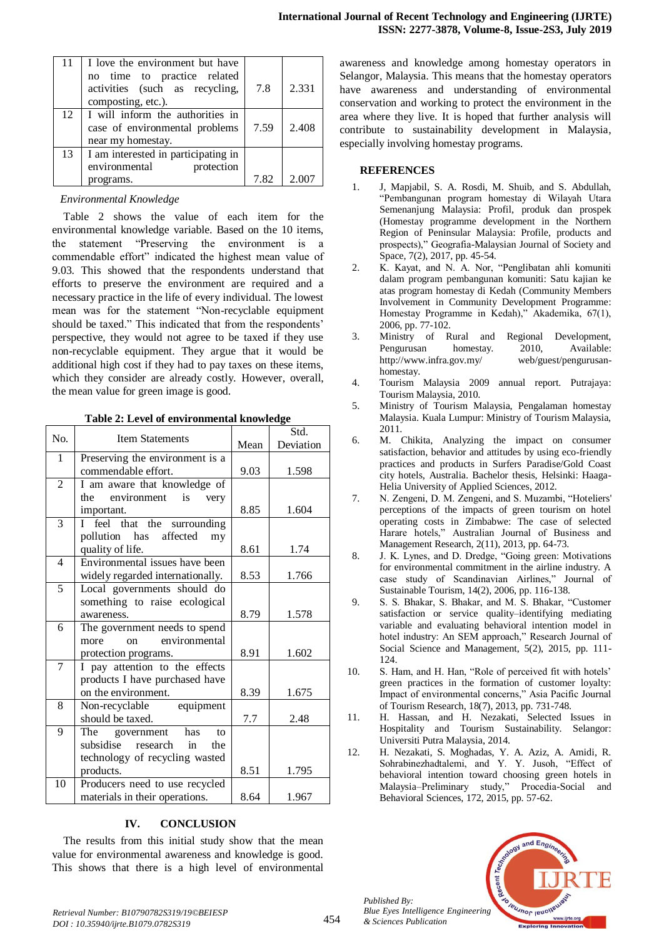|    | I love the environment but have<br>no time to practice related |      |       |
|----|----------------------------------------------------------------|------|-------|
|    | activities (such as recycling,                                 | 7.8  | 2.331 |
|    | composting, etc.).                                             |      |       |
| 12 | I will inform the authorities in                               |      |       |
|    | case of environmental problems                                 | 7.59 | 2.408 |
|    | near my homestay.                                              |      |       |
| 13 | I am interested in participating in                            |      |       |
|    | environmental<br>protection                                    |      |       |
|    | programs.                                                      | 7.82 | 2.007 |

## *Environmental Knowledge*

Table 2 shows the value of each item for the environmental knowledge variable. Based on the 10 items, the statement "Preserving the environment is a commendable effort" indicated the highest mean value of 9.03. This showed that the respondents understand that efforts to preserve the environment are required and a necessary practice in the life of every individual. The lowest mean was for the statement "Non-recyclable equipment should be taxed." This indicated that from the respondents' perspective, they would not agree to be taxed if they use non-recyclable equipment. They argue that it would be additional high cost if they had to pay taxes on these items, which they consider are already costly. However, overall, the mean value for green image is good.

**Table 2: Level of environmental knowledge**

| No.                      | <b>Item Statements</b>            |      | Std.      |
|--------------------------|-----------------------------------|------|-----------|
|                          |                                   | Mean | Deviation |
| 1                        | Preserving the environment is a   |      |           |
|                          | commendable effort.               | 9.03 | 1.598     |
| $\overline{2}$           | I am aware that knowledge of      |      |           |
|                          | environment<br>the<br>is<br>very  |      |           |
|                          | important.                        | 8.85 | 1.604     |
| 3                        | I feel that the surrounding       |      |           |
|                          | pollution has affected<br>my      |      |           |
|                          | quality of life.                  | 8.61 | 1.74      |
| $\overline{\mathcal{L}}$ | Environmental issues have been    |      |           |
|                          | widely regarded internationally.  | 8.53 | 1.766     |
| 5                        | Local governments should do       |      |           |
|                          | something to raise ecological     |      |           |
|                          | awareness.                        | 8.79 | 1.578     |
| 6                        | The government needs to spend     |      |           |
|                          | environmental<br>more<br>$\alpha$ |      |           |
|                          | protection programs.              | 8.91 | 1.602     |
| 7                        | I pay attention to the effects    |      |           |
|                          | products I have purchased have    |      |           |
|                          | on the environment.               | 8.39 | 1.675     |
| 8                        | Non-recyclable<br>equipment       |      |           |
|                          | should be taxed.                  | 7.7  | 2.48      |
| 9                        | The government has<br>to          |      |           |
|                          | subsidise research in<br>the      |      |           |
|                          | technology of recycling wasted    |      |           |
|                          | products.                         | 8.51 | 1.795     |
| 10                       | Producers need to use recycled    |      |           |
|                          | materials in their operations.    | 8.64 | 1.967     |

# **IV. CONCLUSION**

The results from this initial study show that the mean value for environmental awareness and knowledge is good. This shows that there is a high level of environmental

awareness and knowledge among homestay operators in Selangor, Malaysia. This means that the homestay operators have awareness and understanding of environmental conservation and working to protect the environment in the area where they live. It is hoped that further analysis will contribute to sustainability development in Malaysia, especially involving homestay programs.

# **REFERENCES**

- 1. J, Mapjabil, S. A. Rosdi, M. Shuib, and S. Abdullah, "Pembangunan program homestay di Wilayah Utara Semenanjung Malaysia: Profil, produk dan prospek (Homestay programme development in the Northern Region of Peninsular Malaysia: Profile, products and prospects)," Geografia-Malaysian Journal of Society and Space, 7(2), 2017, pp. 45-54.
- 2. K. Kayat, and N. A. Nor, "Penglibatan ahli komuniti dalam program pembangunan komuniti: Satu kajian ke atas program homestay di Kedah (Community Members Involvement in Community Development Programme: Homestay Programme in Kedah)," Akademika, 67(1), 2006, pp. 77-102.
- 3. Ministry of Rural and Regional Development, Pengurusan homestay. 2010, Available: http://www.infra.gov.my/ web/guest/pengurusanhomestay.
- 4. Tourism Malaysia 2009 annual report. Putrajaya: Tourism Malaysia, 2010.
- 5. Ministry of Tourism Malaysia, Pengalaman homestay Malaysia. Kuala Lumpur: Ministry of Tourism Malaysia, 2011.
- 6. M. Chikita, Analyzing the impact on consumer satisfaction, behavior and attitudes by using eco-friendly practices and products in Surfers Paradise/Gold Coast city hotels, Australia. Bachelor thesis, Helsinki: Haaga-Helia University of Applied Sciences, 2012.
- 7. N. Zengeni, D. M. Zengeni, and S. Muzambi, "Hoteliers' perceptions of the impacts of green tourism on hotel operating costs in Zimbabwe: The case of selected Harare hotels," Australian Journal of Business and Management Research, 2(11), 2013, pp. 64-73.
- 8. J. K. Lynes, and D. Dredge, "Going green: Motivations for environmental commitment in the airline industry. A case study of Scandinavian Airlines," Journal of Sustainable Tourism, 14(2), 2006, pp. 116-138.
- 9. S. S. Bhakar, S. Bhakar, and M. S. Bhakar, "Customer satisfaction or service quality–identifying mediating variable and evaluating behavioral intention model in hotel industry: An SEM approach," Research Journal of Social Science and Management, 5(2), 2015, pp. 111- 124.
- 10. S. Ham, and H. Han, "Role of perceived fit with hotels' green practices in the formation of customer loyalty: Impact of environmental concerns," Asia Pacific Journal of Tourism Research, 18(7), 2013, pp. 731-748.
- 11. H. Hassan, and H. Nezakati, Selected Issues in Hospitality and Tourism Sustainability. Selangor: Universiti Putra Malaysia, 2014.
- 12. H. Nezakati, S. Moghadas, Y. A. Aziz, A. Amidi, R. Sohrabinezhadtalemi, and Y. Y. Jusoh, "Effect of behavioral intention toward choosing green hotels in Malaysia–Preliminary study," Procedia-Social and Behavioral Sciences, 172, 2015, pp. 57-62.



*Published By: Blue Eyes Intelligence Engineering & Sciences Publication*